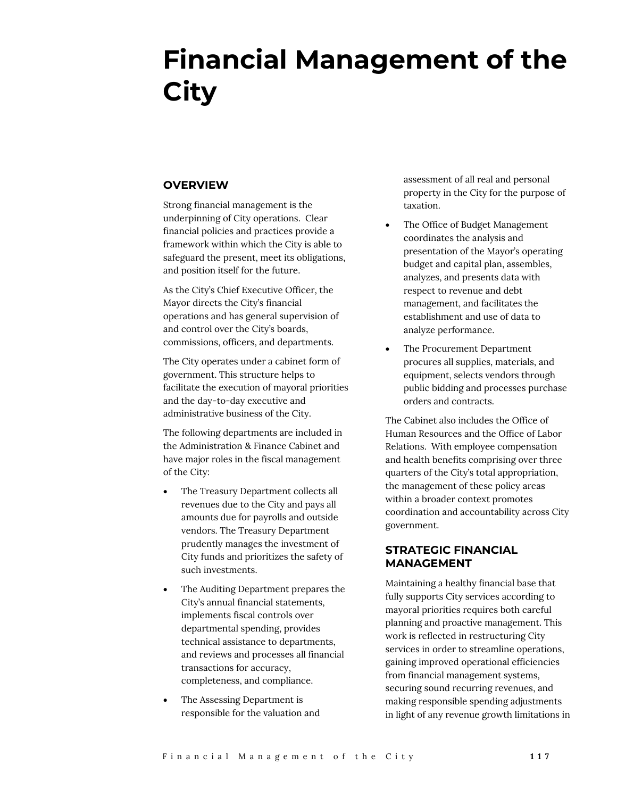# **Financial Management of the City**

# **OVERVIEW**

Strong financial management is the underpinning of City operations. Clear financial policies and practices provide a framework within which the City is able to safeguard the present, meet its obligations, and position itself for the future.

As the City's Chief Executive Officer, the Mayor directs the City's financial operations and has general supervision of and control over the City's boards, commissions, officers, and departments.

The City operates under a cabinet form of government. This structure helps to facilitate the execution of mayoral priorities and the day-to-day executive and administrative business of the City.

The following departments are included in the Administration & Finance Cabinet and have major roles in the fiscal management of the City:

- The Treasury Department collects all revenues due to the City and pays all amounts due for payrolls and outside vendors. The Treasury Department prudently manages the investment of City funds and prioritizes the safety of such investments.
- The Auditing Department prepares the City's annual financial statements, implements fiscal controls over departmental spending, provides technical assistance to departments, and reviews and processes all financial transactions for accuracy, completeness, and compliance.
- The Assessing Department is responsible for the valuation and

assessment of all real and personal property in the City for the purpose of taxation.

- The Office of Budget Management coordinates the analysis and presentation of the Mayor's operating budget and capital plan, assembles, analyzes, and presents data with respect to revenue and debt management, and facilitates the establishment and use of data to analyze performance.
- The Procurement Department procures all supplies, materials, and equipment, selects vendors through public bidding and processes purchase orders and contracts.

The Cabinet also includes the Office of Human Resources and the Office of Labor Relations. With employee compensation and health benefits comprising over three quarters of the City's total appropriation, the management of these policy areas within a broader context promotes coordination and accountability across City government.

# **STRATEGIC FINANCIAL MANAGEMENT**

Maintaining a healthy financial base that fully supports City services according to mayoral priorities requires both careful planning and proactive management. This work is reflected in restructuring City services in order to streamline operations, gaining improved operational efficiencies from financial management systems, securing sound recurring revenues, and making responsible spending adjustments in light of any revenue growth limitations in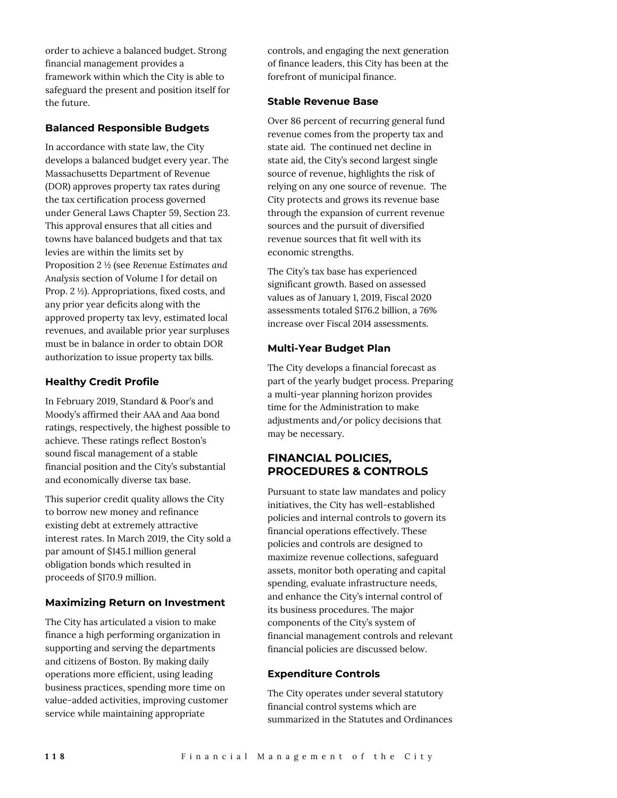order to achieve a balanced budget. Strong financial management provides a framework within which the City is able to safeguard the present and position itself for the future.

## **Balanced Responsible Budgets**

In accordance with state law, the City develops a balanced budget every year. The Massachusetts Department of Revenue (DOR) approves property tax rates during the tax certification process governed under General Laws Chapter 59, Section 23. This approval ensures that all cities and towns have balanced budgets and that tax levies are within the limits set by Proposition 2 ½ (see *Revenue Estimates and Analysis* section of Volume I for detail on Prop. 2 ½). Appropriations, fixed costs, and any prior year deficits along with the approved property tax levy, estimated local revenues, and available prior year surpluses must be in balance in order to obtain DOR authorization to issue property tax bills.

## **Healthy Credit Profile**

In February 2019, Standard & Poor's and Moody's affirmed their AAA and Aaa bond ratings, respectively, the highest possible to achieve. These ratings reflect Boston's sound fiscal management of a stable financial position and the City's substantial and economically diverse tax base.

This superior credit quality allows the City to borrow new money and refinance existing debt at extremely attractive interest rates. In March 2019, the City sold a par amount of \$145.1 million general obligation bonds which resulted in proceeds of \$170.9 million.

#### **Maximizing Return on Investment**

The City has articulated a vision to make finance a high performing organization in supporting and serving the departments and citizens of Boston. By making daily operations more efficient, using leading business practices, spending more time on value-added activities, improving customer service while maintaining appropriate

controls, and engaging the next generation of finance leaders, this City has been at the forefront of municipal finance.

#### **Stable Revenue Base**

Over 86 percent of recurring general fund revenue comes from the property tax and state aid. The continued net decline in state aid, the City's second largest single source of revenue, highlights the risk of relying on any one source of revenue. The City protects and grows its revenue base through the expansion of current revenue sources and the pursuit of diversified revenue sources that fit well with its economic strengths.

The City's tax base has experienced significant growth. Based on assessed values as of January 1, 2019, Fiscal 2020 assessments totaled \$176.2 billion, a 76% increase over Fiscal 2014 assessments.

## **Multi-Year Budget Plan**

The City develops a financial forecast as part of the yearly budget process. Preparing a multi-year planning horizon provides time for the Administration to make adjustments and/or policy decisions that may be necessary.

# **FINANCIAL POLICIES, PROCEDURES & CONTROLS**

Pursuant to state law mandates and policy initiatives, the City has well-established policies and internal controls to govern its financial operations effectively. These policies and controls are designed to maximize revenue collections, safeguard assets, monitor both operating and capital spending, evaluate infrastructure needs, and enhance the City's internal control of its business procedures. The major components of the City's system of financial management controls and relevant financial policies are discussed below.

# **Expenditure Controls**

The City operates under several statutory financial control systems which are summarized in the Statutes and Ordinances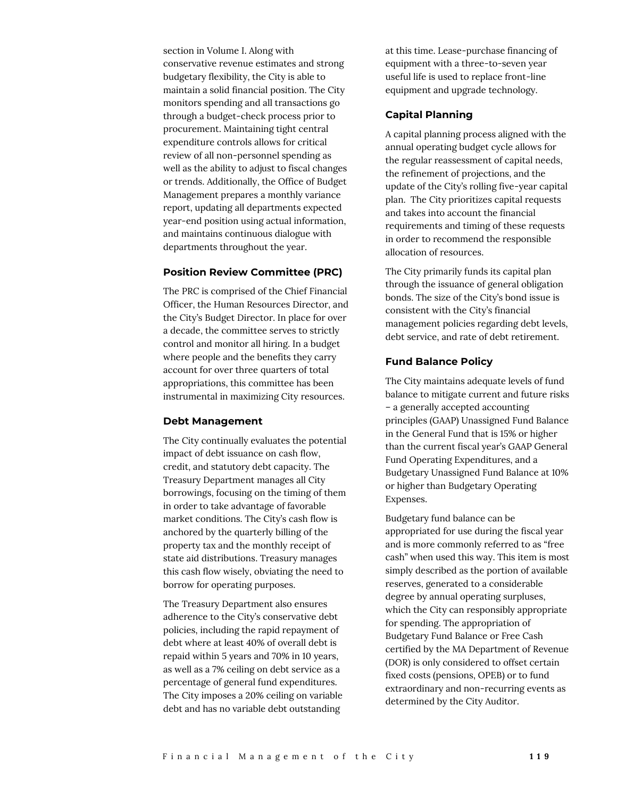section in Volume I. Along with conservative revenue estimates and strong budgetary flexibility, the City is able to maintain a solid financial position. The City monitors spending and all transactions go through a budget-check process prior to procurement. Maintaining tight central expenditure controls allows for critical review of all non-personnel spending as well as the ability to adjust to fiscal changes or trends. Additionally, the Office of Budget Management prepares a monthly variance report, updating all departments expected year-end position using actual information, and maintains continuous dialogue with departments throughout the year.

#### **Position Review Committee (PRC)**

The PRC is comprised of the Chief Financial Officer, the Human Resources Director, and the City's Budget Director. In place for over a decade, the committee serves to strictly control and monitor all hiring. In a budget where people and the benefits they carry account for over three quarters of total appropriations, this committee has been instrumental in maximizing City resources.

#### **Debt Management**

The City continually evaluates the potential impact of debt issuance on cash flow, credit, and statutory debt capacity. The Treasury Department manages all City borrowings, focusing on the timing of them in order to take advantage of favorable market conditions. The City's cash flow is anchored by the quarterly billing of the property tax and the monthly receipt of state aid distributions. Treasury manages this cash flow wisely, obviating the need to borrow for operating purposes.

The Treasury Department also ensures adherence to the City's conservative debt policies, including the rapid repayment of debt where at least 40% of overall debt is repaid within 5 years and 70% in 10 years, as well as a 7% ceiling on debt service as a percentage of general fund expenditures. The City imposes a 20% ceiling on variable debt and has no variable debt outstanding

at this time. Lease-purchase financing of equipment with a three-to-seven year useful life is used to replace front-line equipment and upgrade technology.

#### **Capital Planning**

A capital planning process aligned with the annual operating budget cycle allows for the regular reassessment of capital needs, the refinement of projections, and the update of the City's rolling five-year capital plan. The City prioritizes capital requests and takes into account the financial requirements and timing of these requests in order to recommend the responsible allocation of resources.

The City primarily funds its capital plan through the issuance of general obligation bonds. The size of the City's bond issue is consistent with the City's financial management policies regarding debt levels, debt service, and rate of debt retirement.

#### **Fund Balance Policy**

The City maintains adequate levels of fund balance to mitigate current and future risks – a generally accepted accounting principles (GAAP) Unassigned Fund Balance in the General Fund that is 15% or higher than the current fiscal year's GAAP General Fund Operating Expenditures, and a Budgetary Unassigned Fund Balance at 10% or higher than Budgetary Operating Expenses.

Budgetary fund balance can be appropriated for use during the fiscal year and is more commonly referred to as "free cash" when used this way. This item is most simply described as the portion of available reserves, generated to a considerable degree by annual operating surpluses, which the City can responsibly appropriate for spending. The appropriation of Budgetary Fund Balance or Free Cash certified by the MA Department of Revenue (DOR) is only considered to offset certain fixed costs (pensions, OPEB) or to fund extraordinary and non-recurring events as determined by the City Auditor.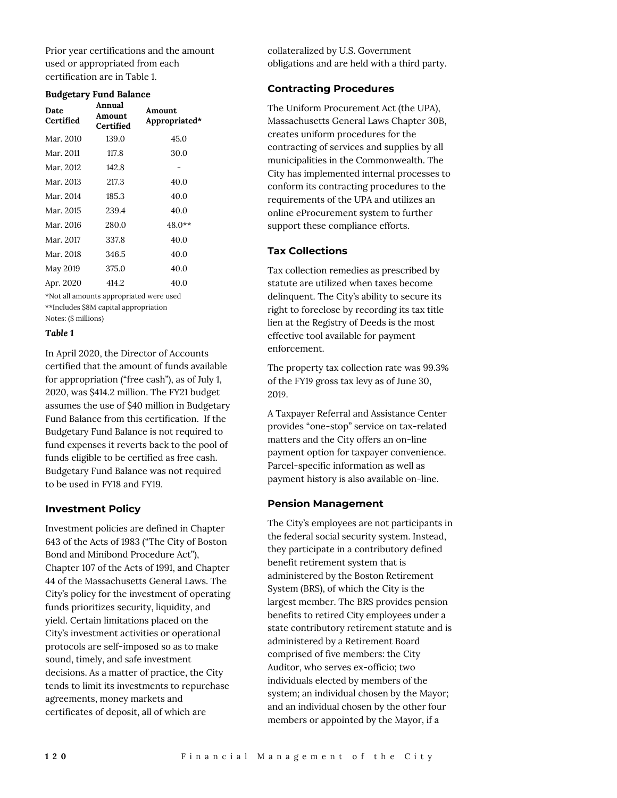Prior year certifications and the amount used or appropriated from each certification are in Table 1.

#### **Budgetary Fund Balance**

| Date<br>Certified                       | Annual<br>Amount<br>Certified | Amount<br>Appropriated* |  |  |  |
|-----------------------------------------|-------------------------------|-------------------------|--|--|--|
| Mar. 2010                               | 139.0                         | 45.0                    |  |  |  |
| Mar. 2011                               | 117.8                         | 30.0                    |  |  |  |
| Mar. 2012                               | 142.8                         |                         |  |  |  |
| Mar. 2013                               | 217.3                         | 40.0                    |  |  |  |
| Mar. 2014                               | 185.3                         | 40.0                    |  |  |  |
| Mar. 2015                               | 239.4                         | 40.0                    |  |  |  |
| Mar. 2016                               | 280.0                         | 48.0**                  |  |  |  |
| Mar. 2017                               | 337.8                         | 40.0                    |  |  |  |
| Mar. 2018                               | 346.5                         | 40.0                    |  |  |  |
| May 2019                                | 375.0                         | 40.0                    |  |  |  |
| Apr. 2020                               | 414.2                         | 40.0                    |  |  |  |
| *Not all amounts appropriated were used |                               |                         |  |  |  |

\*\*Includes \$8M capital appropriation

Notes: (\$ millions)

#### *Table 1*

In April 2020, the Director of Accounts certified that the amount of funds available for appropriation ("free cash"), as of July 1, 2020, was \$414.2 million. The FY21 budget assumes the use of \$40 million in Budgetary Fund Balance from this certification. If the Budgetary Fund Balance is not required to fund expenses it reverts back to the pool of funds eligible to be certified as free cash. Budgetary Fund Balance was not required to be used in FY18 and FY19.

#### **Investment Policy**

Investment policies are defined in Chapter 643 of the Acts of 1983 ("The City of Boston Bond and Minibond Procedure Act"), Chapter 107 of the Acts of 1991, and Chapter 44 of the Massachusetts General Laws. The City's policy for the investment of operating funds prioritizes security, liquidity, and yield. Certain limitations placed on the City's investment activities or operational protocols are self-imposed so as to make sound, timely, and safe investment decisions. As a matter of practice, the City tends to limit its investments to repurchase agreements, money markets and certificates of deposit, all of which are

collateralized by U.S. Government obligations and are held with a third party.

## **Contracting Procedures**

The Uniform Procurement Act (the UPA), Massachusetts General Laws Chapter 30B, creates uniform procedures for the contracting of services and supplies by all municipalities in the Commonwealth. The City has implemented internal processes to conform its contracting procedures to the requirements of the UPA and utilizes an online eProcurement system to further support these compliance efforts.

## **Tax Collections**

Tax collection remedies as prescribed by statute are utilized when taxes become delinquent. The City's ability to secure its right to foreclose by recording its tax title lien at the Registry of Deeds is the most effective tool available for payment enforcement.

The property tax collection rate was 99.3% of the FY19 gross tax levy as of June 30, 2019.

A Taxpayer Referral and Assistance Center provides "one-stop" service on tax-related matters and the City offers an on-line payment option for taxpayer convenience. Parcel-specific information as well as payment history is also available on-line.

#### **Pension Management**

The City's employees are not participants in the federal social security system. Instead, they participate in a contributory defined benefit retirement system that is administered by the Boston Retirement System (BRS), of which the City is the largest member. The BRS provides pension benefits to retired City employees under a state contributory retirement statute and is administered by a Retirement Board comprised of five members: the City Auditor, who serves ex-officio; two individuals elected by members of the system; an individual chosen by the Mayor; and an individual chosen by the other four members or appointed by the Mayor, if a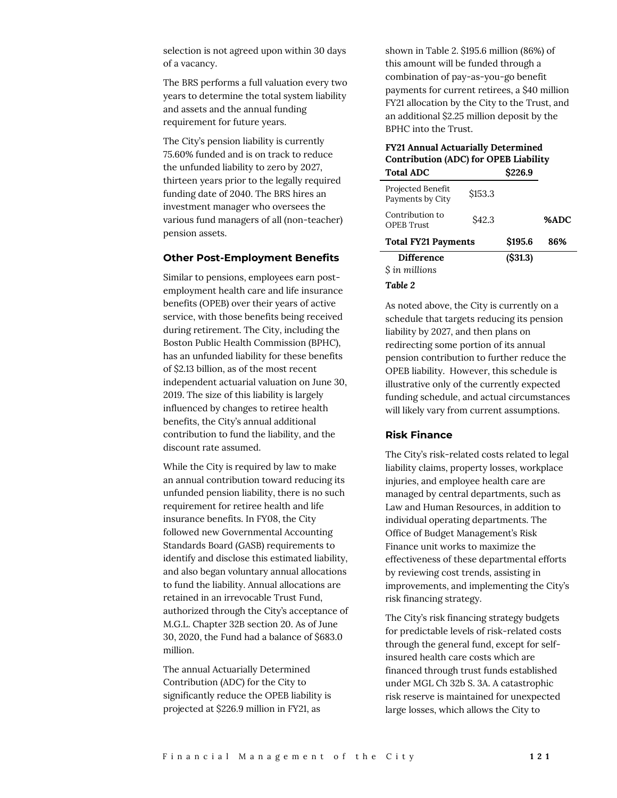selection is not agreed upon within 30 days of a vacancy.

The BRS performs a full valuation every two years to determine the total system liability and assets and the annual funding requirement for future years.

The City's pension liability is currently 75.60% funded and is on track to reduce the unfunded liability to zero by 2027, thirteen years prior to the legally required funding date of 2040. The BRS hires an investment manager who oversees the various fund managers of all (non-teacher) pension assets.

#### **Other Post-Employment Benefits**

Similar to pensions, employees earn postemployment health care and life insurance benefits (OPEB) over their years of active service, with those benefits being received during retirement. The City, including the Boston Public Health Commission (BPHC), has an unfunded liability for these benefits of \$2.13 billion, as of the most recent independent actuarial valuation on June 30, 2019. The size of this liability is largely influenced by changes to retiree health benefits, the City's annual additional contribution to fund the liability, and the discount rate assumed.

While the City is required by law to make an annual contribution toward reducing its unfunded pension liability, there is no such requirement for retiree health and life insurance benefits. In FY08, the City followed new Governmental Accounting Standards Board (GASB) requirements to identify and disclose this estimated liability, and also began voluntary annual allocations to fund the liability. Annual allocations are retained in an irrevocable Trust Fund, authorized through the City's acceptance of M.G.L. Chapter 32B section 20. As of June 30, 2020, the Fund had a balance of \$683.0 million.

The annual Actuarially Determined Contribution (ADC) for the City to significantly reduce the OPEB liability is projected at \$226.9 million in FY21, as

shown in Table 2. \$195.6 million (86%) of this amount will be funded through a combination of pay-as-you-go benefit payments for current retirees, a \$40 million FY21 allocation by the City to the Trust, and an additional \$2.25 million deposit by the BPHC into the Trust.

# **FY21 Annual Actuarially Determined Contribution (ADC) for OPEB Liability**

| <b>Total ADC</b>                      |         | S <sub>226.9</sub> |      |
|---------------------------------------|---------|--------------------|------|
| Projected Benefit<br>Payments by City | \$153.3 |                    |      |
| Contribution to<br><b>OPEB</b> Trust  | S42.3   |                    | %ADC |
| <b>Total FY21 Payments</b>            | \$195.6 | 86%                |      |
| <b>Difference</b><br>S in millions    |         | (S31.3)            |      |

#### *Table 2*

As noted above, the City is currently on a schedule that targets reducing its pension liability by 2027, and then plans on redirecting some portion of its annual pension contribution to further reduce the OPEB liability. However, this schedule is illustrative only of the currently expected funding schedule, and actual circumstances will likely vary from current assumptions.

## **Risk Finance**

The City's risk-related costs related to legal liability claims, property losses, workplace injuries, and employee health care are managed by central departments, such as Law and Human Resources, in addition to individual operating departments. The Office of Budget Management's Risk Finance unit works to maximize the effectiveness of these departmental efforts by reviewing cost trends, assisting in improvements, and implementing the City's risk financing strategy.

The City's risk financing strategy budgets for predictable levels of risk-related costs through the general fund, except for selfinsured health care costs which are financed through trust funds established under MGL Ch 32b S. 3A. A catastrophic risk reserve is maintained for unexpected large losses, which allows the City to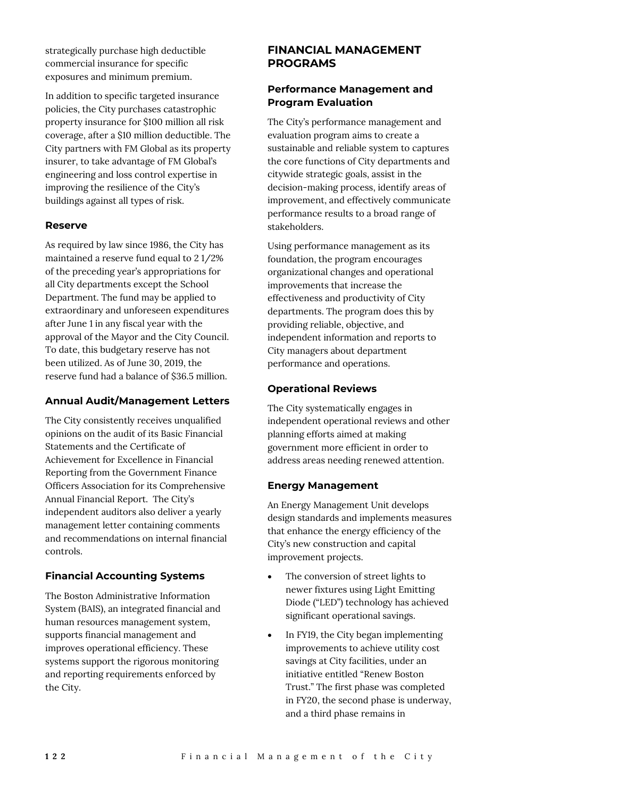strategically purchase high deductible commercial insurance for specific exposures and minimum premium.

In addition to specific targeted insurance policies, the City purchases catastrophic property insurance for \$100 million all risk coverage, after a \$10 million deductible. The City partners with FM Global as its property insurer, to take advantage of FM Global's engineering and loss control expertise in improving the resilience of the City's buildings against all types of risk.

#### **Reserve**

As required by law since 1986, the City has maintained a reserve fund equal to 2 1/2% of the preceding year's appropriations for all City departments except the School Department. The fund may be applied to extraordinary and unforeseen expenditures after June 1 in any fiscal year with the approval of the Mayor and the City Council. To date, this budgetary reserve has not been utilized. As of June 30, 2019, the reserve fund had a balance of \$36.5 million.

#### **Annual Audit/Management Letters**

The City consistently receives unqualified opinions on the audit of its Basic Financial Statements and the Certificate of Achievement for Excellence in Financial Reporting from the Government Finance Officers Association for its Comprehensive Annual Financial Report. The City's independent auditors also deliver a yearly management letter containing comments and recommendations on internal financial controls.

# **Financial Accounting Systems**

The Boston Administrative Information System (BAIS), an integrated financial and human resources management system, supports financial management and improves operational efficiency. These systems support the rigorous monitoring and reporting requirements enforced by the City.

# **FINANCIAL MANAGEMENT PROGRAMS**

# **Performance Management and Program Evaluation**

The City's performance management and evaluation program aims to create a sustainable and reliable system to captures the core functions of City departments and citywide strategic goals, assist in the decision-making process, identify areas of improvement, and effectively communicate performance results to a broad range of stakeholders.

Using performance management as its foundation, the program encourages organizational changes and operational improvements that increase the effectiveness and productivity of City departments. The program does this by providing reliable, objective, and independent information and reports to City managers about department performance and operations.

# **Operational Reviews**

The City systematically engages in independent operational reviews and other planning efforts aimed at making government more efficient in order to address areas needing renewed attention.

# **Energy Management**

An Energy Management Unit develops design standards and implements measures that enhance the energy efficiency of the City's new construction and capital improvement projects.

- The conversion of street lights to newer fixtures using Light Emitting Diode ("LED") technology has achieved significant operational savings.
- In FY19, the City began implementing improvements to achieve utility cost savings at City facilities, under an initiative entitled "Renew Boston Trust." The first phase was completed in FY20, the second phase is underway, and a third phase remains in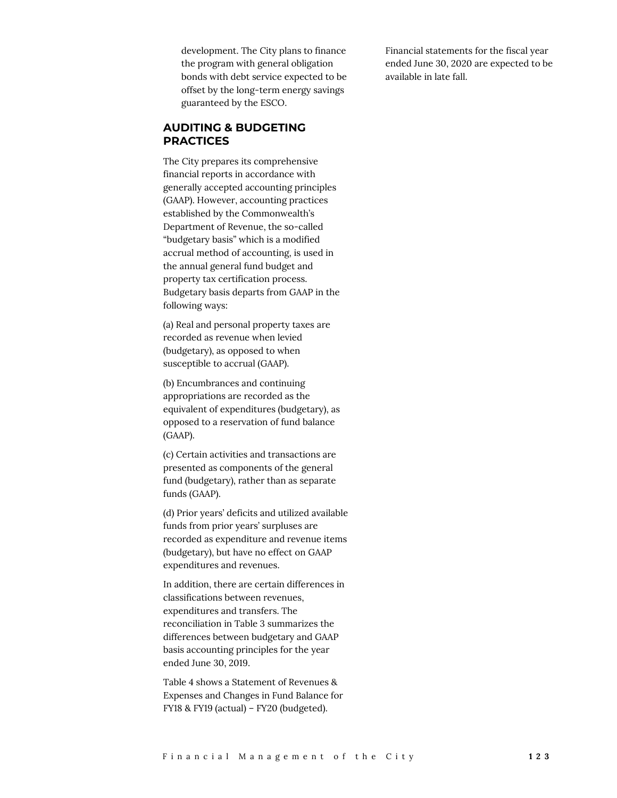development. The City plans to finance the program with general obligation bonds with debt service expected to be offset by the long-term energy savings guaranteed by the ESCO.

# **AUDITING & BUDGETING PRACTICES**

The City prepares its comprehensive financial reports in accordance with generally accepted accounting principles (GAAP). However, accounting practices established by the Commonwealth's Department of Revenue, the so-called "budgetary basis" which is a modified accrual method of accounting, is used in the annual general fund budget and property tax certification process. Budgetary basis departs from GAAP in the following ways:

(a) Real and personal property taxes are recorded as revenue when levied (budgetary), as opposed to when susceptible to accrual (GAAP).

(b) Encumbrances and continuing appropriations are recorded as the equivalent of expenditures (budgetary), as opposed to a reservation of fund balance (GAAP).

(c) Certain activities and transactions are presented as components of the general fund (budgetary), rather than as separate funds (GAAP).

(d) Prior years' deficits and utilized available funds from prior years' surpluses are recorded as expenditure and revenue items (budgetary), but have no effect on GAAP expenditures and revenues.

In addition, there are certain differences in classifications between revenues, expenditures and transfers. The reconciliation in Table 3 summarizes the differences between budgetary and GAAP basis accounting principles for the year ended June 30, 2019.

Table 4 shows a Statement of Revenues & Expenses and Changes in Fund Balance for FY18 & FY19 (actual) – FY20 (budgeted).

Financial statements for the fiscal year ended June 30, 2020 are expected to be available in late fall.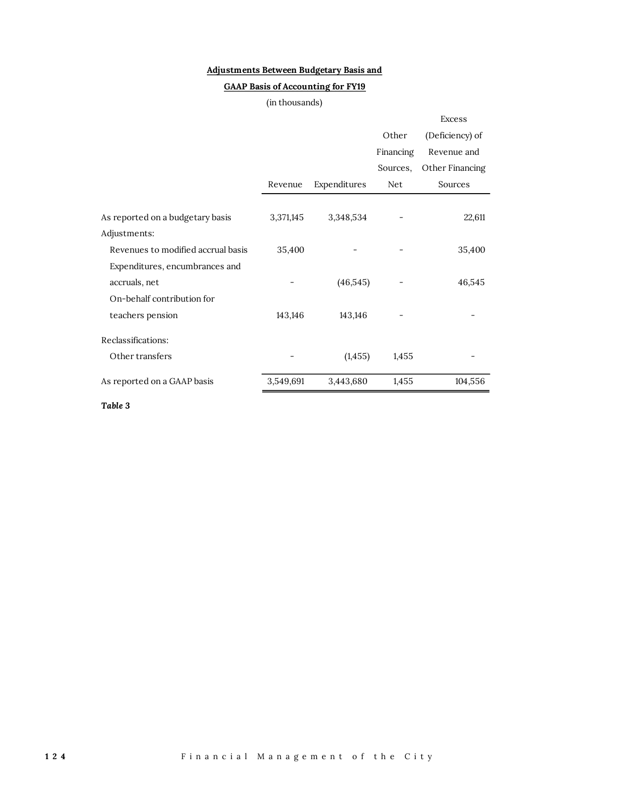# **Adjustments Between Budgetary Basis and**

# **GAAP Basis of Accounting for FY19**

## (in thousands)

|                                    |           |              |            | <b>Excess</b>   |
|------------------------------------|-----------|--------------|------------|-----------------|
|                                    |           |              | Other      | (Deficiency) of |
|                                    |           |              | Financing  | Revenue and     |
|                                    |           |              | Sources,   | Other Financing |
|                                    | Revenue   | Expenditures | <b>Net</b> | Sources         |
|                                    |           |              |            |                 |
| As reported on a budgetary basis   | 3,371,145 | 3,348,534    |            | 22,611          |
| Adjustments:                       |           |              |            |                 |
| Revenues to modified accrual basis | 35,400    |              |            | 35,400          |
| Expenditures, encumbrances and     |           |              |            |                 |
| accruals, net                      |           | (46, 545)    |            | 46,545          |
| On-behalf contribution for         |           |              |            |                 |
| teachers pension                   | 143,146   | 143,146      |            |                 |
| Reclassifications:                 |           |              |            |                 |
| Other transfers                    |           | (1, 455)     | 1,455      |                 |
| As reported on a GAAP basis        | 3,549,691 | 3,443,680    | 1,455      | 104,556         |
|                                    |           |              |            |                 |

*Table 3*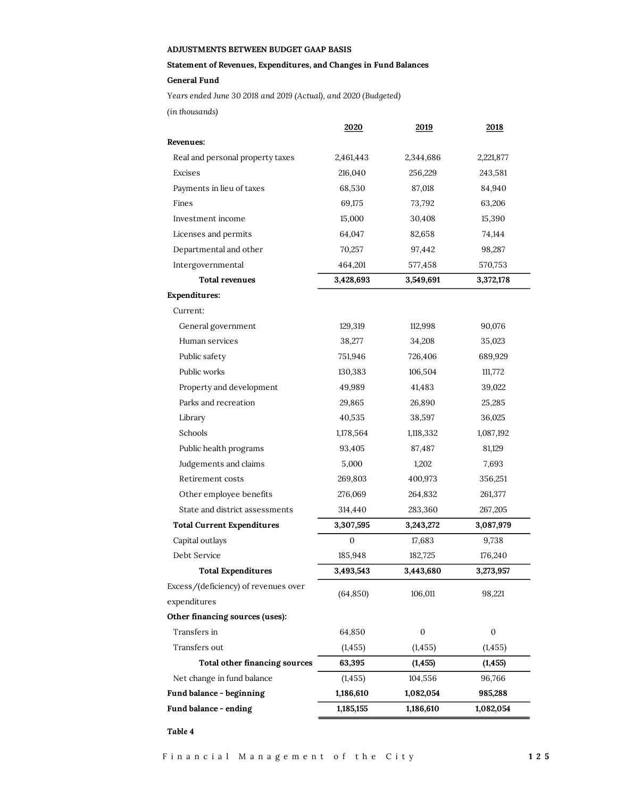#### **ADJUSTMENTS BETWEEN BUDGET GAAP BASIS**

## **Statement of Revenues, Expenditures, and Changes in Fund Balances**

**General Fund**

*Years ended June 30 2018 and 2019 (Actual), and 2020 (Budgeted)*

*(in thousands)*

|                                      | <u>2020</u> | 2019             | 2018             |
|--------------------------------------|-------------|------------------|------------------|
| Revenues:                            |             |                  |                  |
| Real and personal property taxes     | 2,461,443   | 2,344,686        | 2,221,877        |
| Excises                              | 216,040     | 256,229          | 243,581          |
| Payments in lieu of taxes            | 68,530      | 87,018           | 84,940           |
| Fines                                | 69,175      | 73,792           | 63,206           |
| Investment income                    | 15,000      | 30,408           | 15,390           |
| Licenses and permits                 | 64,047      | 82,658           | 74,144           |
| Departmental and other               | 70,257      | 97,442           | 98,287           |
| Intergovernmental                    | 464,201     | 577,458          | 570,753          |
| <b>Total revenues</b>                | 3,428,693   | 3,549,691        | 3,372,178        |
| <b>Expenditures:</b>                 |             |                  |                  |
| Current:                             |             |                  |                  |
| General government                   | 129,319     | 112,998          | 90,076           |
| Human services                       | 38,277      | 34,208           | 35,023           |
| Public safety                        | 751,946     | 726,406          | 689,929          |
| Public works                         | 130,383     | 106,504          | 111,772          |
| Property and development             | 49,989      | 41,483           | 39,022           |
| Parks and recreation                 | 29,865      | 26,890           | 25,285           |
| Library                              | 40,535      | 38,597           | 36,025           |
| Schools                              | 1,178,564   | 1,118,332        | 1,087,192        |
| Public health programs               | 93,405      | 87,487           | 81,129           |
| Judgements and claims                | 5,000       | 1,202            | 7,693            |
| Retirement costs                     | 269,803     | 400,973          | 356,251          |
| Other employee benefits              | 276,069     | 264,832          | 261,377          |
| State and district assessments       | 314,440     | 283,360          | 267,205          |
| <b>Total Current Expenditures</b>    | 3,307,595   | 3,243,272        | 3,087,979        |
| Capital outlays                      | 0           | 17,683           | 9,738            |
| Debt Service                         | 185,948     | 182,725          | 176,240          |
| <b>Total Expenditures</b>            | 3,493,543   | 3,443,680        | 3,273,957        |
| Excess/(deficiency) of revenues over | (64, 850)   | 106,011          | 98,221           |
| expenditures                         |             |                  |                  |
| Other financing sources (uses):      |             |                  |                  |
| Transfers in                         | 64,850      | $\boldsymbol{0}$ | $\boldsymbol{0}$ |
| Transfers out                        | (1, 455)    | (1, 455)         | (1, 455)         |
| Total other financing sources        | 63,395      | (1, 455)         | (1, 455)         |
| Net change in fund balance           | (1, 455)    | 104,556          | 96,766           |
| Fund balance - beginning             | 1,186,610   | 1,082,054        | 985,288          |
| Fund balance - ending                | 1,185,155   | 1,186,610        | 1,082,054        |
|                                      |             |                  |                  |

*Table 4*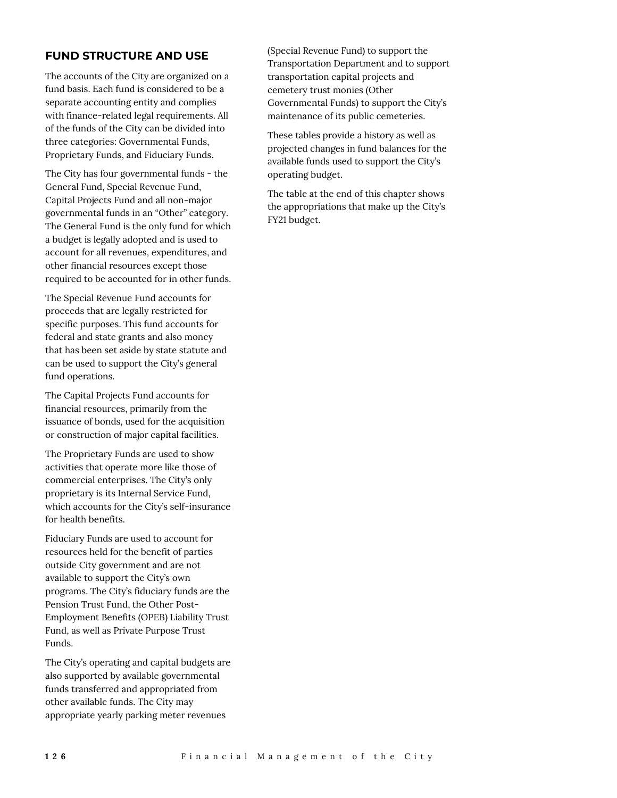# **FUND STRUCTURE AND USE**

The accounts of the City are organized on a fund basis. Each fund is considered to be a separate accounting entity and complies with finance-related legal requirements. All of the funds of the City can be divided into three categories: Governmental Funds, Proprietary Funds, and Fiduciary Funds.

The City has four governmental funds - the General Fund, Special Revenue Fund, Capital Projects Fund and all non-major governmental funds in an "Other" category. The General Fund is the only fund for which a budget is legally adopted and is used to account for all revenues, expenditures, and other financial resources except those required to be accounted for in other funds.

The Special Revenue Fund accounts for proceeds that are legally restricted for specific purposes. This fund accounts for federal and state grants and also money that has been set aside by state statute and can be used to support the City's general fund operations.

The Capital Projects Fund accounts for financial resources, primarily from the issuance of bonds, used for the acquisition or construction of major capital facilities.

The Proprietary Funds are used to show activities that operate more like those of commercial enterprises. The City's only proprietary is its Internal Service Fund, which accounts for the City's self-insurance for health benefits.

Fiduciary Funds are used to account for resources held for the benefit of parties outside City government and are not available to support the City's own programs. The City's fiduciary funds are the Pension Trust Fund, the Other Post-Employment Benefits (OPEB) Liability Trust Fund, as well as Private Purpose Trust Funds.

The City's operating and capital budgets are also supported by available governmental funds transferred and appropriated from other available funds. The City may appropriate yearly parking meter revenues

(Special Revenue Fund) to support the Transportation Department and to support transportation capital projects and cemetery trust monies (Other Governmental Funds) to support the City's maintenance of its public cemeteries.

These tables provide a history as well as projected changes in fund balances for the available funds used to support the City's operating budget.

The table at the end of this chapter shows the appropriations that make up the City's FY21 budget.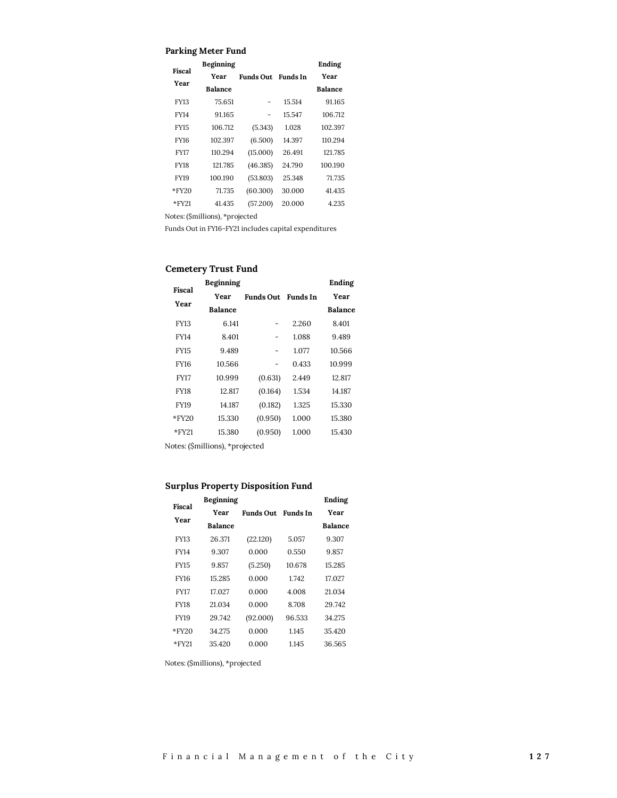#### **Parking Meter Fund**

| Fiscal      | <b>Beginning</b> |                  |                 | Ending         |
|-------------|------------------|------------------|-----------------|----------------|
| Year        | <b>Year</b>      | <b>Funds Out</b> | <b>Funds</b> In | Year           |
|             | <b>Balance</b>   |                  |                 | <b>Balance</b> |
| <b>FY13</b> | 75.651           |                  | 15.514          | 91.165         |
| FY14        | 91.165           |                  | 15.547          | 106.712        |
| <b>FY15</b> | 106.712          | (5.343)          | 1.028           | 102.397        |
| FY16        | 102.397          | (6.500)          | 14.397          | 110.294        |
| <b>FY17</b> | 110.294          | (15.000)         | 26.491          | 121.785        |
| FY18        | 121.785          | (46.385)         | 24.790          | 100.190        |
| <b>FY19</b> | 100.190          | (53.803)         | 25.348          | 71.735         |
| $*$ FY20    | 71.735           | (60.300)         | 30.000          | 41.435         |
| *FY21       | 41.435           | (57.200)         | 20.000          | 4.235          |
|             |                  |                  |                 |                |

Notes: (\$millions), \*projected

Funds Out in FY16-FY21 includes capital expenditures

# **Cemetery Trust Fund**

| Fiscal      | Beginning                    |                           |       | Ending         |
|-------------|------------------------------|---------------------------|-------|----------------|
|             | Year                         | <b>Funds Out</b> Funds In |       | Year           |
| Year        | <b>Balance</b>               |                           |       | <b>Balance</b> |
| <b>FY13</b> | 6.141                        |                           | 2.260 | 8.401          |
| FY14        | 8.401                        |                           | 1.088 | 9.489          |
| <b>FY15</b> | 9.489                        |                           | 1.077 | 10.566         |
| FY16        | 10.566                       |                           | 0.433 | 10.999         |
| <b>FY17</b> | 10.999                       | (0.631)                   | 2.449 | 12.817         |
| FY18        | 12.817                       | (0.164)                   | 1.534 | 14.187         |
| <b>FY19</b> | 14.187                       | (0.182)                   | 1.325 | 15.330         |
| $*$ FY20    | 15.330                       | (0.950)                   | 1.000 | 15.380         |
| $*$ FY21    | 15.380                       | (0.950)                   | 1.000 | 15.430         |
|             | Jotes (Smillions) *projected |                           |       |                |

Notes: (\$millions), \*projected

## **Surplus Property Disposition Fund**

| Fiscal      | Beginning      |           |                 | Ending         |
|-------------|----------------|-----------|-----------------|----------------|
| Year        | Year           | Funds Out | <b>Funds</b> In | Year           |
|             | <b>Balance</b> |           |                 | <b>Balance</b> |
| <b>FY13</b> | 26.371         | (22.120)  | 5.057           | 9.307          |
| <b>FY14</b> | 9.307          | 0.000     | 0.550           | 9.857          |
| <b>FY15</b> | 9.857          | (5.250)   | 10.678          | 15.285         |
| <b>FY16</b> | 15 285         | 0.000     | 1.742           | 17.027         |
| <b>FY17</b> | 17027          | 0.000     | 4.008           | 21.034         |
| <b>FY18</b> | 21.034         | 0.000     | 8.708           | 29.742         |
| <b>FY19</b> | 29.742         | (92.000)  | 96.533          | 34.275         |
| $*$ FY20    | 34.275         | 0.000     | 1.145           | 35.420         |
| $*$ FY21    | 35420          | 0.000     | 1.145           | 36.565         |

Notes: (\$millions), \*projected

 $\mathcal{L}_{\mathcal{L}}$ 

т.